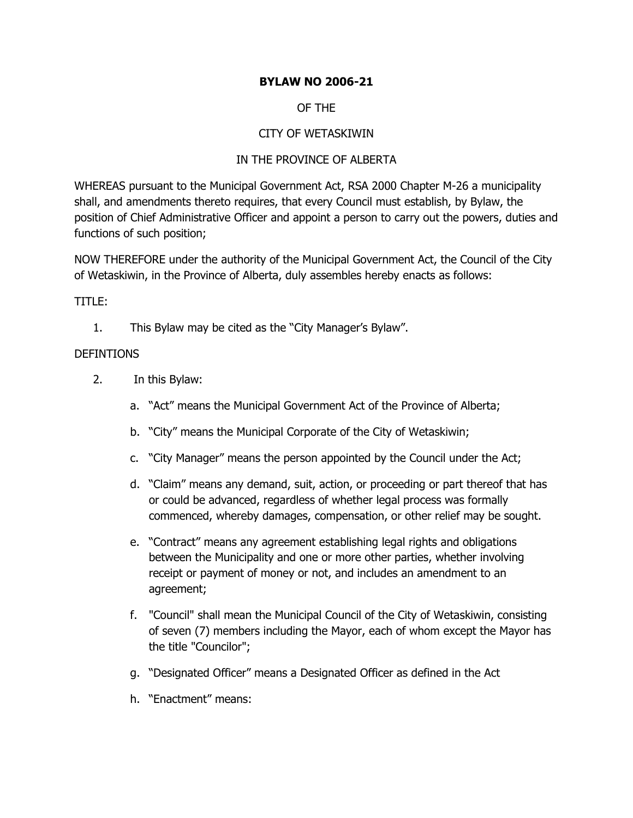## **BYLAW NO 2006-21**

### OF THE

### CITY OF WETASKIWIN

### IN THE PROVINCE OF ALBERTA

WHEREAS pursuant to the Municipal Government Act, RSA 2000 Chapter M-26 a municipality shall, and amendments thereto requires, that every Council must establish, by Bylaw, the position of Chief Administrative Officer and appoint a person to carry out the powers, duties and functions of such position;

NOW THEREFORE under the authority of the Municipal Government Act, the Council of the City of Wetaskiwin, in the Province of Alberta, duly assembles hereby enacts as follows:

### TITLE:

1. This Bylaw may be cited as the "City Manager's Bylaw".

#### DEFINTIONS

- 2. In this Bylaw:
	- a. "Act" means the Municipal Government Act of the Province of Alberta;
	- b. "City" means the Municipal Corporate of the City of Wetaskiwin;
	- c. "City Manager" means the person appointed by the Council under the Act;
	- d. "Claim" means any demand, suit, action, or proceeding or part thereof that has or could be advanced, regardless of whether legal process was formally commenced, whereby damages, compensation, or other relief may be sought.
	- e. "Contract" means any agreement establishing legal rights and obligations between the Municipality and one or more other parties, whether involving receipt or payment of money or not, and includes an amendment to an agreement;
	- f. "Council" shall mean the Municipal Council of the City of Wetaskiwin, consisting of seven (7) members including the Mayor, each of whom except the Mayor has the title "Councilor";
	- g. "Designated Officer" means a Designated Officer as defined in the Act
	- h. "Enactment" means: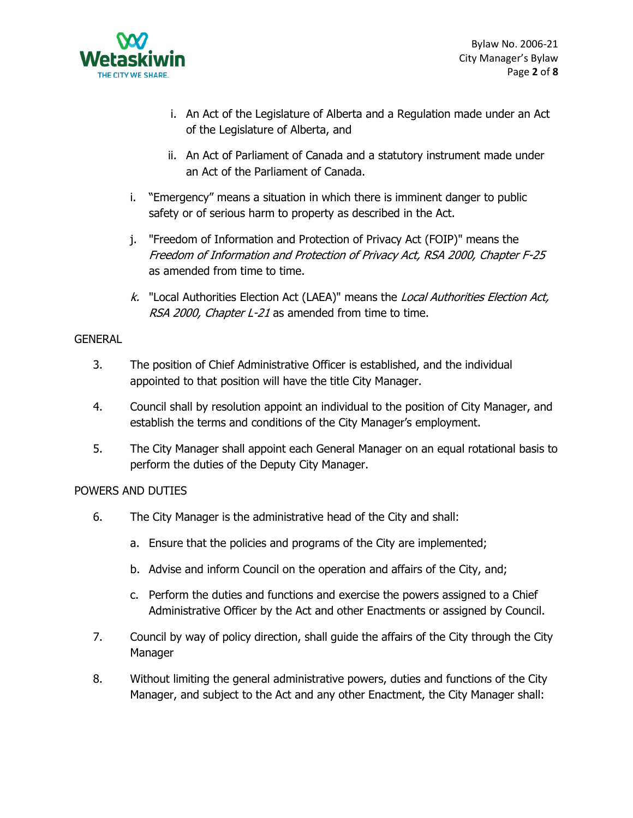

- i. An Act of the Legislature of Alberta and a Regulation made under an Act of the Legislature of Alberta, and
- ii. An Act of Parliament of Canada and a statutory instrument made under an Act of the Parliament of Canada.
- i. "Emergency" means a situation in which there is imminent danger to public safety or of serious harm to property as described in the Act.
- j. "Freedom of Information and Protection of Privacy Act (FOIP)" means the Freedom of Information and Protection of Privacy Act, RSA 2000, Chapter F-25 as amended from time to time.
- k. "Local Authorities Election Act (LAEA)" means the Local Authorities Election Act, RSA 2000, Chapter L-21 as amended from time to time.

#### **GENERAL**

- 3. The position of Chief Administrative Officer is established, and the individual appointed to that position will have the title City Manager.
- 4. Council shall by resolution appoint an individual to the position of City Manager, and establish the terms and conditions of the City Manager's employment.
- 5. The City Manager shall appoint each General Manager on an equal rotational basis to perform the duties of the Deputy City Manager.

## POWERS AND DUTIES

- 6. The City Manager is the administrative head of the City and shall:
	- a. Ensure that the policies and programs of the City are implemented;
	- b. Advise and inform Council on the operation and affairs of the City, and;
	- c. Perform the duties and functions and exercise the powers assigned to a Chief Administrative Officer by the Act and other Enactments or assigned by Council.
- 7. Council by way of policy direction, shall guide the affairs of the City through the City Manager
- 8. Without limiting the general administrative powers, duties and functions of the City Manager, and subject to the Act and any other Enactment, the City Manager shall: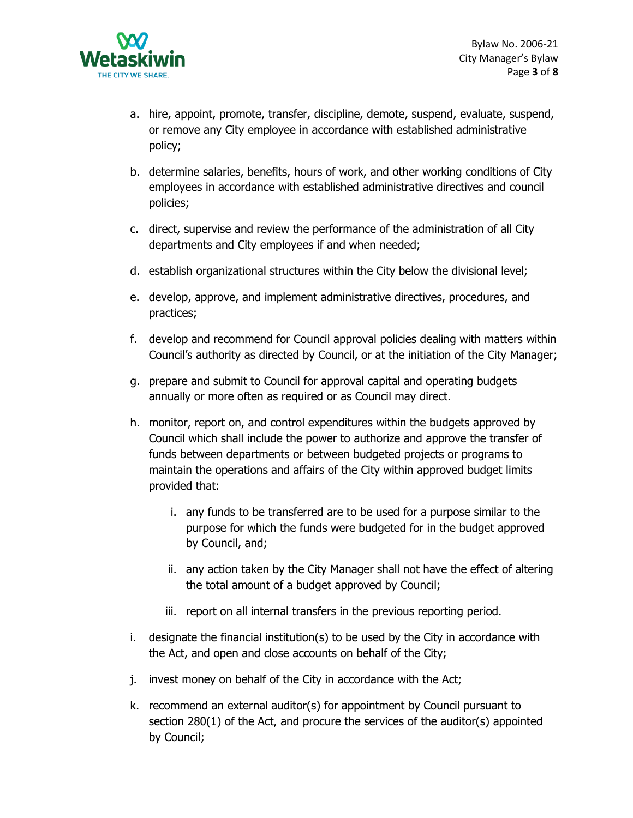

- a. hire, appoint, promote, transfer, discipline, demote, suspend, evaluate, suspend, or remove any City employee in accordance with established administrative policy;
- b. determine salaries, benefits, hours of work, and other working conditions of City employees in accordance with established administrative directives and council policies;
- c. direct, supervise and review the performance of the administration of all City departments and City employees if and when needed;
- d. establish organizational structures within the City below the divisional level;
- e. develop, approve, and implement administrative directives, procedures, and practices;
- f. develop and recommend for Council approval policies dealing with matters within Council's authority as directed by Council, or at the initiation of the City Manager;
- g. prepare and submit to Council for approval capital and operating budgets annually or more often as required or as Council may direct.
- h. monitor, report on, and control expenditures within the budgets approved by Council which shall include the power to authorize and approve the transfer of funds between departments or between budgeted projects or programs to maintain the operations and affairs of the City within approved budget limits provided that:
	- i. any funds to be transferred are to be used for a purpose similar to the purpose for which the funds were budgeted for in the budget approved by Council, and;
	- ii. any action taken by the City Manager shall not have the effect of altering the total amount of a budget approved by Council;
	- iii. report on all internal transfers in the previous reporting period.
- i. designate the financial institution(s) to be used by the City in accordance with the Act, and open and close accounts on behalf of the City;
- j. invest money on behalf of the City in accordance with the Act;
- k. recommend an external auditor(s) for appointment by Council pursuant to section 280(1) of the Act, and procure the services of the auditor(s) appointed by Council;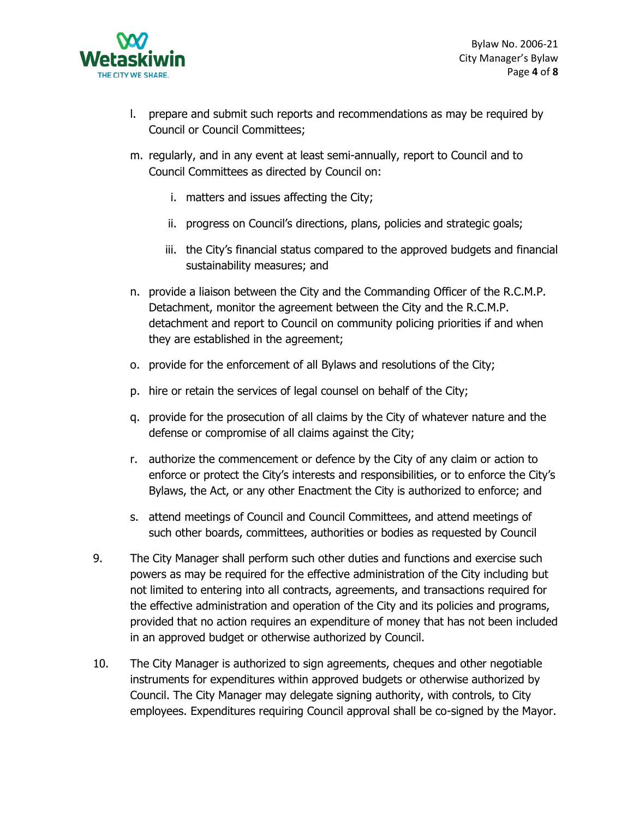

- l. prepare and submit such reports and recommendations as may be required by Council or Council Committees;
- m. regularly, and in any event at least semi-annually, report to Council and to Council Committees as directed by Council on:
	- i. matters and issues affecting the City;
	- ii. progress on Council's directions, plans, policies and strategic goals;
	- iii. the City's financial status compared to the approved budgets and financial sustainability measures; and
- n. provide a liaison between the City and the Commanding Officer of the R.C.M.P. Detachment, monitor the agreement between the City and the R.C.M.P. detachment and report to Council on community policing priorities if and when they are established in the agreement;
- o. provide for the enforcement of all Bylaws and resolutions of the City;
- p. hire or retain the services of legal counsel on behalf of the City;
- q. provide for the prosecution of all claims by the City of whatever nature and the defense or compromise of all claims against the City;
- r. authorize the commencement or defence by the City of any claim or action to enforce or protect the City's interests and responsibilities, or to enforce the City's Bylaws, the Act, or any other Enactment the City is authorized to enforce; and
- s. attend meetings of Council and Council Committees, and attend meetings of such other boards, committees, authorities or bodies as requested by Council
- 9. The City Manager shall perform such other duties and functions and exercise such powers as may be required for the effective administration of the City including but not limited to entering into all contracts, agreements, and transactions required for the effective administration and operation of the City and its policies and programs, provided that no action requires an expenditure of money that has not been included in an approved budget or otherwise authorized by Council.
- 10. The City Manager is authorized to sign agreements, cheques and other negotiable instruments for expenditures within approved budgets or otherwise authorized by Council. The City Manager may delegate signing authority, with controls, to City employees. Expenditures requiring Council approval shall be co-signed by the Mayor.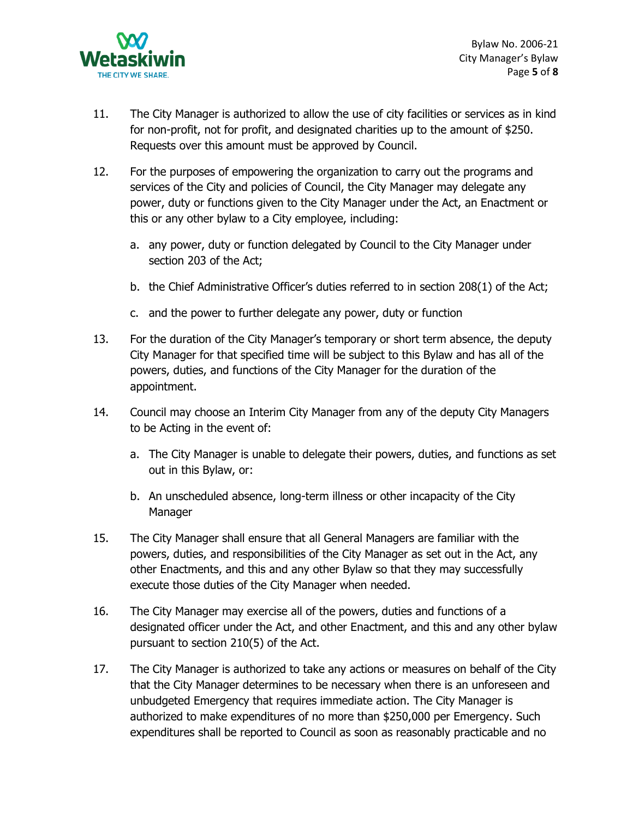

 Bylaw No. 2006-21 City Manager's Bylaw Page **5** of **8**

- 11. The City Manager is authorized to allow the use of city facilities or services as in kind for non-profit, not for profit, and designated charities up to the amount of \$250. Requests over this amount must be approved by Council.
- 12. For the purposes of empowering the organization to carry out the programs and services of the City and policies of Council, the City Manager may delegate any power, duty or functions given to the City Manager under the Act, an Enactment or this or any other bylaw to a City employee, including:
	- a. any power, duty or function delegated by Council to the City Manager under section 203 of the Act;
	- b. the Chief Administrative Officer's duties referred to in section 208(1) of the Act;
	- c. and the power to further delegate any power, duty or function
- 13. For the duration of the City Manager's temporary or short term absence, the deputy City Manager for that specified time will be subject to this Bylaw and has all of the powers, duties, and functions of the City Manager for the duration of the appointment.
- 14. Council may choose an Interim City Manager from any of the deputy City Managers to be Acting in the event of:
	- a. The City Manager is unable to delegate their powers, duties, and functions as set out in this Bylaw, or:
	- b. An unscheduled absence, long-term illness or other incapacity of the City Manager
- 15. The City Manager shall ensure that all General Managers are familiar with the powers, duties, and responsibilities of the City Manager as set out in the Act, any other Enactments, and this and any other Bylaw so that they may successfully execute those duties of the City Manager when needed.
- 16. The City Manager may exercise all of the powers, duties and functions of a designated officer under the Act, and other Enactment, and this and any other bylaw pursuant to section 210(5) of the Act.
- 17. The City Manager is authorized to take any actions or measures on behalf of the City that the City Manager determines to be necessary when there is an unforeseen and unbudgeted Emergency that requires immediate action. The City Manager is authorized to make expenditures of no more than \$250,000 per Emergency. Such expenditures shall be reported to Council as soon as reasonably practicable and no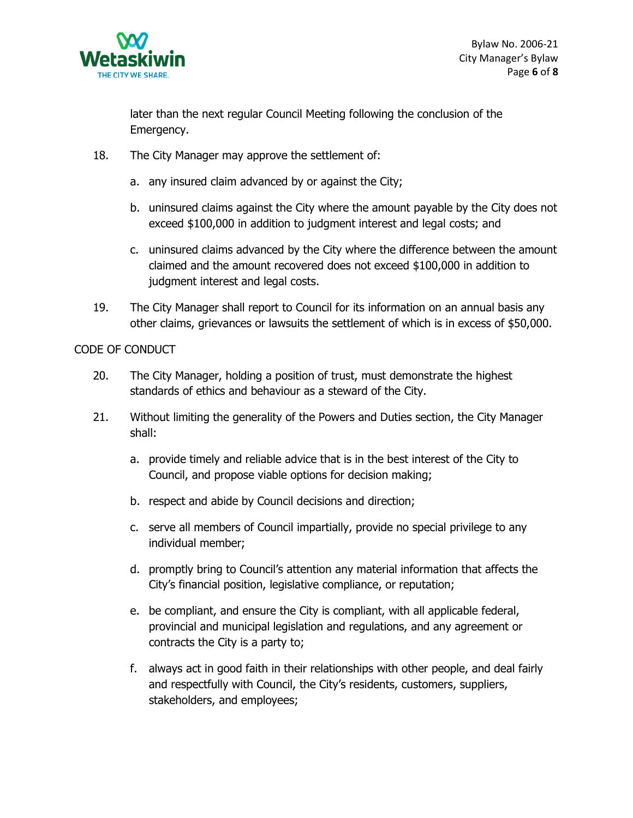

later than the next regular Council Meeting following the conclusion of the Emergency.

- 18. The City Manager may approve the settlement of:
	- a. any insured claim advanced by or against the City;
	- b. uninsured claims against the City where the amount payable by the City does not exceed \$100,000 in addition to judgment interest and legal costs; and
	- c. uninsured claims advanced by the City where the difference between the amount claimed and the amount recovered does not exceed \$100,000 in addition to judgment interest and legal costs.
- 19. The City Manager shall report to Council for its information on an annual basis any other claims, grievances or lawsuits the settlement of which is in excess of \$50,000.

### CODE OF CONDUCT

- 20. The City Manager, holding a position of trust, must demonstrate the highest standards of ethics and behaviour as a steward of the City.
- 21. Without limiting the generality of the Powers and Duties section, the City Manager shall:
	- a. provide timely and reliable advice that is in the best interest of the City to Council, and propose viable options for decision making;
	- b. respect and abide by Council decisions and direction;
	- c. serve all members of Council impartially, provide no special privilege to any individual member;
	- d. promptly bring to Council's attention any material information that affects the City's financial position, legislative compliance, or reputation;
	- e. be compliant, and ensure the City is compliant, with all applicable federal, provincial and municipal legislation and regulations, and any agreement or contracts the City is a party to;
	- f. always act in good faith in their relationships with other people, and deal fairly and respectfully with Council, the City's residents, customers, suppliers, stakeholders, and employees;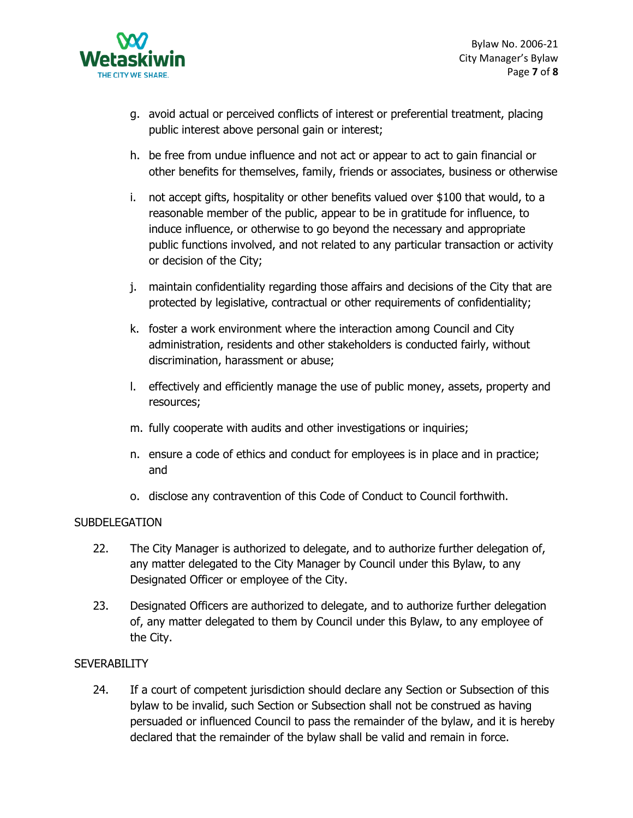

- g. avoid actual or perceived conflicts of interest or preferential treatment, placing public interest above personal gain or interest;
- h. be free from undue influence and not act or appear to act to gain financial or other benefits for themselves, family, friends or associates, business or otherwise
- i. not accept gifts, hospitality or other benefits valued over \$100 that would, to a reasonable member of the public, appear to be in gratitude for influence, to induce influence, or otherwise to go beyond the necessary and appropriate public functions involved, and not related to any particular transaction or activity or decision of the City;
- j. maintain confidentiality regarding those affairs and decisions of the City that are protected by legislative, contractual or other requirements of confidentiality;
- k. foster a work environment where the interaction among Council and City administration, residents and other stakeholders is conducted fairly, without discrimination, harassment or abuse;
- l. effectively and efficiently manage the use of public money, assets, property and resources;
- m. fully cooperate with audits and other investigations or inquiries;
- n. ensure a code of ethics and conduct for employees is in place and in practice; and
- o. disclose any contravention of this Code of Conduct to Council forthwith.

#### SUBDELEGATION

- 22. The City Manager is authorized to delegate, and to authorize further delegation of, any matter delegated to the City Manager by Council under this Bylaw, to any Designated Officer or employee of the City.
- 23. Designated Officers are authorized to delegate, and to authorize further delegation of, any matter delegated to them by Council under this Bylaw, to any employee of the City.

## **SEVERABILITY**

24. If a court of competent jurisdiction should declare any Section or Subsection of this bylaw to be invalid, such Section or Subsection shall not be construed as having persuaded or influenced Council to pass the remainder of the bylaw, and it is hereby declared that the remainder of the bylaw shall be valid and remain in force.